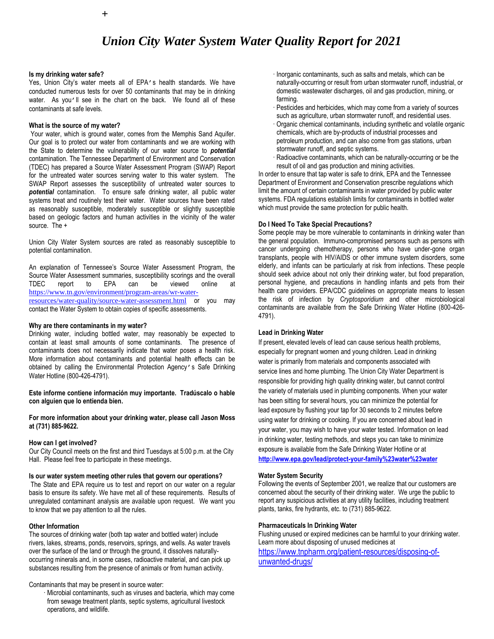# *Union City Water System Water Quality Report for 2021*

#### **Is my drinking water safe?**

Yes, Union City's water meets all of EPA's health standards. We have conducted numerous tests for over 50 contaminants that may be in drinking water. As you'll see in the chart on the back. We found all of these contaminants at safe levels.

#### **What is the source of my water?**

Your water, which is ground water, comes from the Memphis Sand Aquifer. Our goal is to protect our water from contaminants and we are working with the State to determine the vulnerability of our water source to *potential*  contamination. The Tennessee Department of Environment and Conservation (TDEC) has prepared a Source Water Assessment Program (SWAP) Report for the untreated water sources serving water to this water system. The SWAP Report assesses the susceptibility of untreated water sources to *potential* contamination. To ensure safe drinking water, all public water systems treat and routinely test their water. Water sources have been rated as reasonably susceptible, moderately susceptible or slightly susceptible based on geologic factors and human activities in the vicinity of the water source. The +

Union City Water System sources are rated as reasonably susceptible to potential contamination.

An explanation of Tennessee's Source Water Assessment Program, the Source Water Assessment summaries, susceptibility scorings and the overall TDEC report to EPA can be viewed online at [https://www.tn.gov/environment/program-areas/wr-water](https://www.tn.gov/environment/program-areas/wr-water-resources/water-quality/source-water-assessment.html)[resources/water-quality/source-water-assessment.html](https://www.tn.gov/environment/program-areas/wr-water-resources/water-quality/source-water-assessment.html) or you may contact the Water System to obtain copies of specific assessments.

#### **Why are there contaminants in my water?**

Drinking water, including bottled water, may reasonably be expected to contain at least small amounts of some contaminants. The presence of contaminants does not necessarily indicate that water poses a health risk. More information about contaminants and potential health effects can be obtained by calling the Environmental Protection Agency's Safe Drinking Water Hotline (800-426-4791).

**Este informe contiene información muy importante. Tradúscalo o hable con alguien que lo entienda bien.**

**For more information about your drinking water, please call Jason Moss at (731) 885-9622.**

#### **How can I get involved?**

Our City Council meets on the first and third Tuesdays at 5:00 p.m. at the City Hall. Please feel free to participate in these meetings.

### **Is our water system meeting other rules that govern our operations?**

The State and EPA require us to test and report on our water on a regular basis to ensure its safety. We have met all of these requirements. Results of unregulated contaminant analysis are available upon request. We want you to know that we pay attention to all the rules.

#### **Other Information**

The sources of drinking water (both tap water and bottled water) include rivers, lakes, streams, ponds, reservoirs, springs, and wells. As water travels over the surface of the land or through the ground, it dissolves naturallyoccurring minerals and, in some cases, radioactive material, and can pick up substances resulting from the presence of animals or from human activity.

#### Contaminants that may be present in source water:

· Microbial contaminants, such as viruses and bacteria, which may come from sewage treatment plants, septic systems, agricultural livestock operations, and wildlife.

- · Inorganic contaminants, such as salts and metals, which can be naturally-occurring or result from urban stormwater runoff, industrial, or domestic wastewater discharges, oil and gas production, mining, or farming.
- · Pesticides and herbicides, which may come from a variety of sources such as agriculture, urban stormwater runoff, and residential uses.
- · Organic chemical contaminants, including synthetic and volatile organic chemicals, which are by-products of industrial processes and petroleum production, and can also come from gas stations, urban stormwater runoff, and septic systems.
- Radioactive contaminants, which can be naturally-occurring or be the result of oil and gas production and mining activities.

In order to ensure that tap water is safe to drink, EPA and the Tennessee Department of Environment and Conservation prescribe regulations which limit the amount of certain contaminants in water provided by public water systems. FDA regulations establish limits for contaminants in bottled water which must provide the same protection for public health.

#### **Do I Need To Take Special Precautions?**

Some people may be more vulnerable to contaminants in drinking water than the general population. Immuno-compromised persons such as persons with cancer undergoing chemotherapy, persons who have under-gone organ transplants, people with HIV/AIDS or other immune system disorders, some elderly, and infants can be particularly at risk from infections. These people should seek advice about not only their drinking water, but food preparation, personal hygiene, and precautions in handling infants and pets from their health care providers. EPA/CDC guidelines on appropriate means to lessen the risk of infection by *Cryptosporidium* and other microbiological contaminants are available from the Safe Drinking Water Hotline (800-426- 4791).

#### **Lead in Drinking Water**

If present, elevated levels of lead can cause serious health problems, especially for pregnant women and young children. Lead in drinking water is primarily from materials and components associated with service lines and home plumbing. The Union City Water Department is responsible for providing high quality drinking water, but cannot control the variety of materials used in plumbing components. When your water has been sitting for several hours, you can minimize the potential for lead exposure by flushing your tap for 30 seconds to 2 minutes before using water for drinking or cooking. If you are concerned about lead in your water, you may wish to have your water tested. Information on lead in drinking water, testing methods, and steps you can take to minimize exposure is available from the Safe Drinking Water Hotline or at

**<http://www.epa.gov/lead/protect-your-family%23water%23water>**

#### **Water System Security**

Following the events of September 2001, we realize that our customers are concerned about the security of their drinking water. We urge the public to report any suspicious activities at any utility facilities, including treatment plants, tanks, fire hydrants, etc. to (731) 885-9622.

#### **Pharmaceuticals In Drinking Water**

Flushing unused or expired medicines can be harmful to your drinking water. Learn more about disposing of unused medicines at

[https://www.tnpharm.org/patient-resources/disposing-of](https://www.tnpharm.org/patient-resources/disposing-of-unwanted-drugs/)[unwanted-drugs/](https://www.tnpharm.org/patient-resources/disposing-of-unwanted-drugs/)